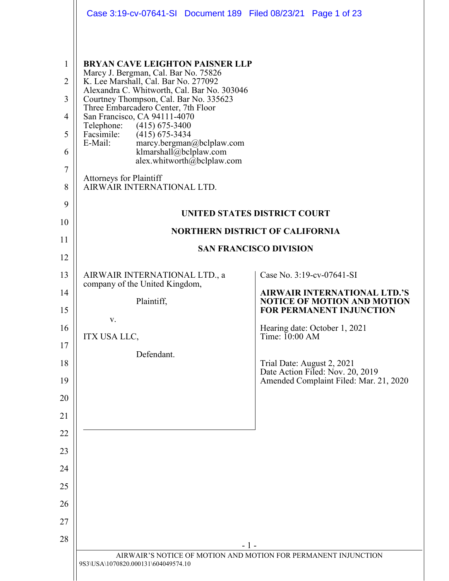|                                                                        | Case 3:19-cv-07641-SI Document 189 Filed 08/23/21 Page 1 of 23                                                                                                                                                                                                                                                                                                                                                                                                                                                        |                                                                                                              |
|------------------------------------------------------------------------|-----------------------------------------------------------------------------------------------------------------------------------------------------------------------------------------------------------------------------------------------------------------------------------------------------------------------------------------------------------------------------------------------------------------------------------------------------------------------------------------------------------------------|--------------------------------------------------------------------------------------------------------------|
| $\mathbf{1}$<br>$\overline{2}$<br>3<br>4<br>5<br>6<br>$\tau$<br>8<br>9 | <b>BRYAN CAVE LEIGHTON PAISNER LLP</b><br>Marcy J. Bergman, Cal. Bar No. 75826<br>K. Lee Marshall, Cal. Bar No. 277092<br>Alexandra C. Whitworth, Cal. Bar No. 303046<br>Courtney Thompson, Cal. Bar No. 335623<br>Three Embarcadero Center, 7th Floor<br>San Francisco, CA 94111-4070<br>Telephone: (415) 675-3400<br>Facsimile:<br>$(415)$ 675-3434<br>E-Mail:<br>marcy.bergman@bclplaw.com<br>klmarshall@bclplaw.com<br>alex.whitworth@bclplaw.com<br><b>Attorneys for Plaintiff</b><br>AIRWAIR INTERNATIONAL LTD. | UNITED STATES DISTRICT COURT                                                                                 |
| 10                                                                     |                                                                                                                                                                                                                                                                                                                                                                                                                                                                                                                       | <b>NORTHERN DISTRICT OF CALIFORNIA</b>                                                                       |
| 11                                                                     |                                                                                                                                                                                                                                                                                                                                                                                                                                                                                                                       | <b>SAN FRANCISCO DIVISION</b>                                                                                |
| 12                                                                     |                                                                                                                                                                                                                                                                                                                                                                                                                                                                                                                       |                                                                                                              |
| 13                                                                     | AIRWAIR INTERNATIONAL LTD., a<br>company of the United Kingdom,                                                                                                                                                                                                                                                                                                                                                                                                                                                       | Case No. 3:19-cv-07641-SI                                                                                    |
| 14<br>15                                                               | Plaintiff,                                                                                                                                                                                                                                                                                                                                                                                                                                                                                                            | <b>AIRWAIR INTERNATIONAL LTD.'S</b><br><b>NOTICE OF MOTION AND MOTION</b><br><b>FOR PERMANENT INJUNCTION</b> |
| 16                                                                     | V.                                                                                                                                                                                                                                                                                                                                                                                                                                                                                                                    | Hearing date: October 1, 2021                                                                                |
| 17                                                                     | ITX USA LLC,                                                                                                                                                                                                                                                                                                                                                                                                                                                                                                          | Time: $10:00$ AM                                                                                             |
| 18                                                                     | Defendant.                                                                                                                                                                                                                                                                                                                                                                                                                                                                                                            | Trial Date: August 2, 2021                                                                                   |
| 19                                                                     |                                                                                                                                                                                                                                                                                                                                                                                                                                                                                                                       | Date Action Filed: Nov. 20, 2019<br>Amended Complaint Filed: Mar. 21, 2020                                   |
| 20                                                                     |                                                                                                                                                                                                                                                                                                                                                                                                                                                                                                                       |                                                                                                              |
| 21                                                                     |                                                                                                                                                                                                                                                                                                                                                                                                                                                                                                                       |                                                                                                              |
| 22                                                                     |                                                                                                                                                                                                                                                                                                                                                                                                                                                                                                                       |                                                                                                              |
| 23                                                                     |                                                                                                                                                                                                                                                                                                                                                                                                                                                                                                                       |                                                                                                              |
| 24                                                                     |                                                                                                                                                                                                                                                                                                                                                                                                                                                                                                                       |                                                                                                              |
| 25                                                                     |                                                                                                                                                                                                                                                                                                                                                                                                                                                                                                                       |                                                                                                              |
| 26                                                                     |                                                                                                                                                                                                                                                                                                                                                                                                                                                                                                                       |                                                                                                              |
| 27                                                                     |                                                                                                                                                                                                                                                                                                                                                                                                                                                                                                                       |                                                                                                              |
| 28                                                                     |                                                                                                                                                                                                                                                                                                                                                                                                                                                                                                                       | - 1 -                                                                                                        |
|                                                                        | 9S3\USA\1070820.000131\604049574.10                                                                                                                                                                                                                                                                                                                                                                                                                                                                                   | AIRWAIR'S NOTICE OF MOTION AND MOTION FOR PERMANENT INJUNCTION                                               |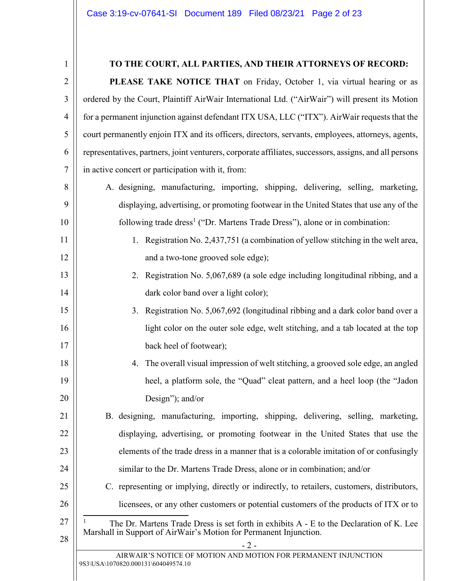| $\mathbf{1}$   | TO THE COURT, ALL PARTIES, AND THEIR ATTORNEYS OF RECORD:                                              |
|----------------|--------------------------------------------------------------------------------------------------------|
| $\overline{2}$ | PLEASE TAKE NOTICE THAT on Friday, October 1, via virtual hearing or as                                |
| 3              | ordered by the Court, Plaintiff AirWair International Ltd. ("AirWair") will present its Motion         |
| $\overline{4}$ | for a permanent injunction against defendant ITX USA, LLC ("ITX"). AirWair requests that the           |
| 5              | court permanently enjoin ITX and its officers, directors, servants, employees, attorneys, agents,      |
| 6              | representatives, partners, joint venturers, corporate affiliates, successors, assigns, and all persons |
| $\tau$         | in active concert or participation with it, from:                                                      |
| 8              | A. designing, manufacturing, importing, shipping, delivering, selling, marketing,                      |
| 9              | displaying, advertising, or promoting footwear in the United States that use any of the                |
| 10             | following trade dress <sup>1</sup> ("Dr. Martens Trade Dress"), alone or in combination:               |
| 11             | 1. Registration No. 2,437,751 (a combination of yellow stitching in the welt area,                     |
| 12             | and a two-tone grooved sole edge);                                                                     |
| 13             | 2. Registration No. 5,067,689 (a sole edge including longitudinal ribbing, and a                       |
| 14             | dark color band over a light color);                                                                   |
| 15             | 3. Registration No. 5,067,692 (longitudinal ribbing and a dark color band over a                       |
| 16             | light color on the outer sole edge, welt stitching, and a tab located at the top                       |
| 17             | back heel of footwear);                                                                                |
| 18             | The overall visual impression of welt stitching, a grooved sole edge, an angled<br>4.                  |
| 19             | heel, a platform sole, the "Quad" cleat pattern, and a heel loop (the "Jadon                           |
| 20             | Design"); and/or                                                                                       |
| 21             | B. designing, manufacturing, importing, shipping, delivering, selling, marketing,                      |
| 22             | displaying, advertising, or promoting footwear in the United States that use the                       |
| 23             | elements of the trade dress in a manner that is a colorable imitation of or confusingly                |
| 24             | similar to the Dr. Martens Trade Dress, alone or in combination; and/or                                |
| 25             | C. representing or implying, directly or indirectly, to retailers, customers, distributors,            |
| 26             | licensees, or any other customers or potential customers of the products of ITX or to                  |
| 27             | The Dr. Martens Trade Dress is set forth in exhibits A - E to the Declaration of K. Lee                |
| 28             | Marshall in Support of AirWair's Motion for Permanent Injunction.<br>$-2-$                             |
|                | AIRWAIR'S NOTICE OF MOTION AND MOTION FOR PERMANENT INJUNCTION<br>9S3\USA\1070820.000131\604049574.10  |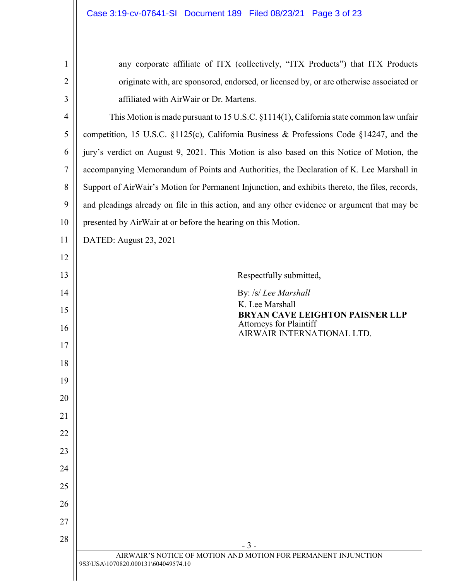<span id="page-2-1"></span><span id="page-2-0"></span>

| 1              | any corporate affiliate of ITX (collectively, "ITX Products") that ITX Products                       |
|----------------|-------------------------------------------------------------------------------------------------------|
| $\overline{2}$ | originate with, are sponsored, endorsed, or licensed by, or are otherwise associated or               |
| 3              | affiliated with AirWair or Dr. Martens.                                                               |
| 4              | This Motion is made pursuant to 15 U.S.C. $\S1114(1)$ , California state common law unfair            |
| 5              | competition, 15 U.S.C. §1125(c), California Business & Professions Code §14247, and the               |
| 6              | jury's verdict on August 9, 2021. This Motion is also based on this Notice of Motion, the             |
| 7              | accompanying Memorandum of Points and Authorities, the Declaration of K. Lee Marshall in              |
| 8              | Support of AirWair's Motion for Permanent Injunction, and exhibits thereto, the files, records,       |
| 9              | and pleadings already on file in this action, and any other evidence or argument that may be          |
| 10             | presented by AirWair at or before the hearing on this Motion.                                         |
| 11             | DATED: August 23, 2021                                                                                |
| 12             |                                                                                                       |
| 13             | Respectfully submitted,                                                                               |
| 14             | By: /s/ Lee Marshall                                                                                  |
| 15             | K. Lee Marshall<br>BRYAN CAVE LEIGHTON PAISNER LLP                                                    |
| 16             | <b>Attorneys for Plaintiff</b><br>AIRWAIR INTERNATIONAL LTD.                                          |
| 17             |                                                                                                       |
| 18             |                                                                                                       |
| 19             |                                                                                                       |
| 20             |                                                                                                       |
| 21             |                                                                                                       |
| 22             |                                                                                                       |
| 23             |                                                                                                       |
| 24             |                                                                                                       |
| 25             |                                                                                                       |
| 26             |                                                                                                       |
| 27             |                                                                                                       |
| 28             | $-3-$                                                                                                 |
|                | AIRWAIR'S NOTICE OF MOTION AND MOTION FOR PERMANENT INJUNCTION<br>9S3\USA\1070820.000131\604049574.10 |
|                |                                                                                                       |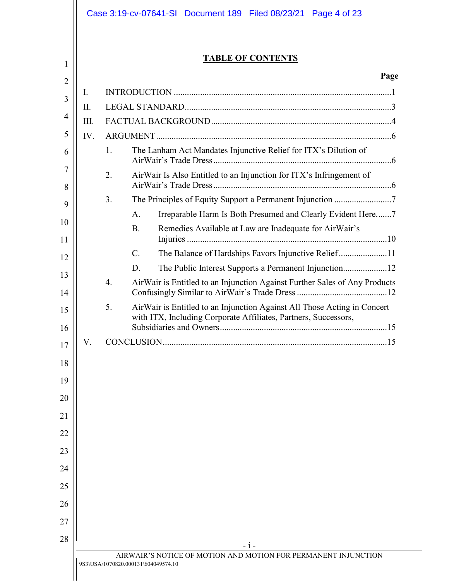|      |    | <b>TABLE OF CONTENTS</b>                                                   |
|------|----|----------------------------------------------------------------------------|
|      |    | Page                                                                       |
| I.   |    |                                                                            |
| Π.   |    |                                                                            |
| III. |    |                                                                            |
| IV.  |    |                                                                            |
|      | 1. | The Lanham Act Mandates Injunctive Relief for ITX's Dilution of            |
|      | 2. | AirWair Is Also Entitled to an Injunction for ITX's Infringement of        |
|      | 3. |                                                                            |
|      |    | Irreparable Harm Is Both Presumed and Clearly Evident Here7<br>A.          |
|      |    | Remedies Available at Law are Inadequate for AirWair's<br><b>B.</b>        |
|      |    | $C_{\cdot}$<br>The Balance of Hardships Favors Injunctive Relief11         |
|      |    | D.                                                                         |
|      | 4. | AirWair is Entitled to an Injunction Against Further Sales of Any Products |
|      | 5. | AirWair is Entitled to an Injunction Against All Those Acting in Concert   |
|      |    | with ITX, Including Corporate Affiliates, Partners, Successors,            |
|      |    |                                                                            |
| V.   |    | CONCLUSION.                                                                |
|      |    |                                                                            |
|      |    |                                                                            |
|      |    |                                                                            |
|      |    |                                                                            |
|      |    |                                                                            |
|      |    |                                                                            |
|      |    |                                                                            |
|      |    |                                                                            |
|      |    |                                                                            |
|      |    |                                                                            |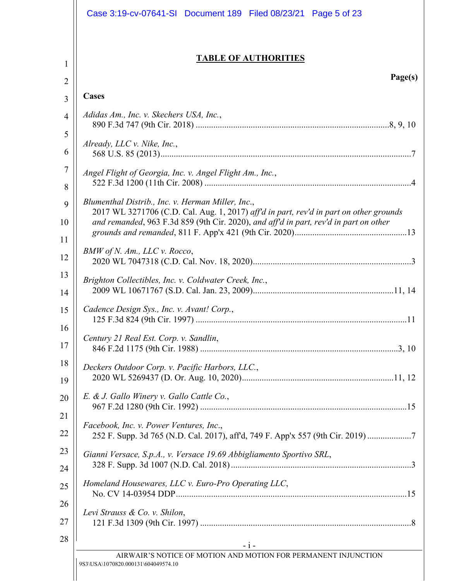| <b>TABLE OF AUTHORITIES</b>                                                                                                                 |
|---------------------------------------------------------------------------------------------------------------------------------------------|
| Page(s)                                                                                                                                     |
| <b>Cases</b>                                                                                                                                |
| Adidas Am., Inc. v. Skechers USA, Inc.,                                                                                                     |
|                                                                                                                                             |
| Already, LLC $\nu$ . Nike, Inc.,                                                                                                            |
| Angel Flight of Georgia, Inc. v. Angel Flight Am., Inc.,                                                                                    |
|                                                                                                                                             |
| Blumenthal Distrib., Inc. v. Herman Miller, Inc.,<br>2017 WL 3271706 (C.D. Cal. Aug. 1, 2017) aff'd in part, rev'd in part on other grounds |
| and remanded, 963 F.3d 859 (9th Cir. 2020), and aff'd in part, rev'd in part on other                                                       |
| BMW of N. Am., LLC v. Rocco,                                                                                                                |
|                                                                                                                                             |
| Brighton Collectibles, Inc. v. Coldwater Creek, Inc.,                                                                                       |
|                                                                                                                                             |
| Cadence Design Sys., Inc. v. Avant! Corp.,                                                                                                  |
| Century 21 Real Est. Corp. v. Sandlin,                                                                                                      |
|                                                                                                                                             |
| Deckers Outdoor Corp. v. Pacific Harbors, LLC.,                                                                                             |
|                                                                                                                                             |
| E. & J. Gallo Winery v. Gallo Cattle Co.,                                                                                                   |
|                                                                                                                                             |
| Facebook, Inc. v. Power Ventures, Inc.,<br>252 F. Supp. 3d 765 (N.D. Cal. 2017), aff'd, 749 F. App'x 557 (9th Cir. 2019) 7                  |
| Gianni Versace, S.p.A., v. Versace 19.69 Abbigliamento Sportivo SRL,                                                                        |
| Homeland Housewares, LLC v. Euro-Pro Operating LLC,                                                                                         |
| Levi Strauss & Co. v. Shilon,                                                                                                               |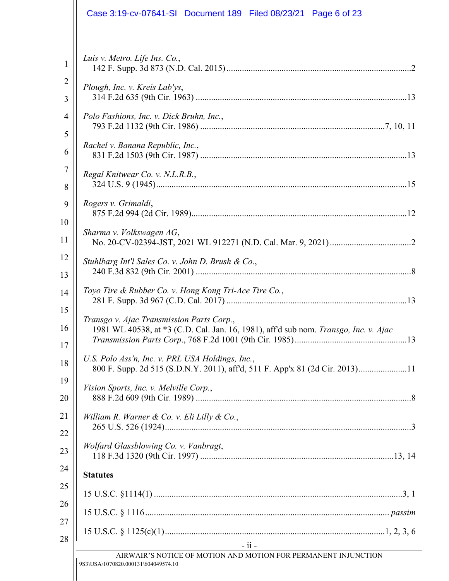| Luis v. Metro. Life Ins. Co.,<br>$\mathbf{1}$<br>$\overline{2}$<br>Plough, Inc. v. Kreis Lab'ys,<br>3<br>Polo Fashions, Inc. v. Dick Bruhn, Inc.,<br>4<br>5<br>Rachel v. Banana Republic, Inc.,<br>6<br>7<br>Regal Knitwear Co. v. N.L.R.B.,<br>8<br>Rogers v. Grimaldi,<br>9<br>10<br>Sharma v. Volkswagen AG,<br>11<br>12<br>Stuhlbarg Int'l Sales Co. v. John D. Brush & Co.,<br>13<br>Toyo Tire & Rubber Co. v. Hong Kong Tri-Ace Tire Co.,<br>14<br>15<br>Transgo v. Ajac Transmission Parts Corp.,<br>16<br>1981 WL 40538, at *3 (C.D. Cal. Jan. 16, 1981), aff'd sub nom. Transgo, Inc. v. Ajac<br>17<br>U.S. Polo Ass'n, Inc. v. PRL USA Holdings, Inc.,<br>18<br>800 F. Supp. 2d 515 (S.D.N.Y. 2011), aff'd, 511 F. App'x 81 (2d Cir. 2013)11<br>19<br>Vision Sports, Inc. v. Melville Corp.,<br>20 |
|--------------------------------------------------------------------------------------------------------------------------------------------------------------------------------------------------------------------------------------------------------------------------------------------------------------------------------------------------------------------------------------------------------------------------------------------------------------------------------------------------------------------------------------------------------------------------------------------------------------------------------------------------------------------------------------------------------------------------------------------------------------------------------------------------------------|
|                                                                                                                                                                                                                                                                                                                                                                                                                                                                                                                                                                                                                                                                                                                                                                                                              |
|                                                                                                                                                                                                                                                                                                                                                                                                                                                                                                                                                                                                                                                                                                                                                                                                              |
|                                                                                                                                                                                                                                                                                                                                                                                                                                                                                                                                                                                                                                                                                                                                                                                                              |
|                                                                                                                                                                                                                                                                                                                                                                                                                                                                                                                                                                                                                                                                                                                                                                                                              |
|                                                                                                                                                                                                                                                                                                                                                                                                                                                                                                                                                                                                                                                                                                                                                                                                              |
|                                                                                                                                                                                                                                                                                                                                                                                                                                                                                                                                                                                                                                                                                                                                                                                                              |
|                                                                                                                                                                                                                                                                                                                                                                                                                                                                                                                                                                                                                                                                                                                                                                                                              |
|                                                                                                                                                                                                                                                                                                                                                                                                                                                                                                                                                                                                                                                                                                                                                                                                              |
|                                                                                                                                                                                                                                                                                                                                                                                                                                                                                                                                                                                                                                                                                                                                                                                                              |
|                                                                                                                                                                                                                                                                                                                                                                                                                                                                                                                                                                                                                                                                                                                                                                                                              |
|                                                                                                                                                                                                                                                                                                                                                                                                                                                                                                                                                                                                                                                                                                                                                                                                              |
|                                                                                                                                                                                                                                                                                                                                                                                                                                                                                                                                                                                                                                                                                                                                                                                                              |
| 21<br>William R. Warner & Co. v. Eli Lilly & Co.,<br>22                                                                                                                                                                                                                                                                                                                                                                                                                                                                                                                                                                                                                                                                                                                                                      |
| Wolfard Glassblowing Co. v. Vanbragt,<br>23                                                                                                                                                                                                                                                                                                                                                                                                                                                                                                                                                                                                                                                                                                                                                                  |
| 24<br><b>Statutes</b>                                                                                                                                                                                                                                                                                                                                                                                                                                                                                                                                                                                                                                                                                                                                                                                        |
| 25                                                                                                                                                                                                                                                                                                                                                                                                                                                                                                                                                                                                                                                                                                                                                                                                           |
| 26<br>27                                                                                                                                                                                                                                                                                                                                                                                                                                                                                                                                                                                                                                                                                                                                                                                                     |
| 28                                                                                                                                                                                                                                                                                                                                                                                                                                                                                                                                                                                                                                                                                                                                                                                                           |
| $-11 -$<br>AIRWAIR'S NOTICE OF MOTION AND MOTION FOR PERMANENT INJUNCTION                                                                                                                                                                                                                                                                                                                                                                                                                                                                                                                                                                                                                                                                                                                                    |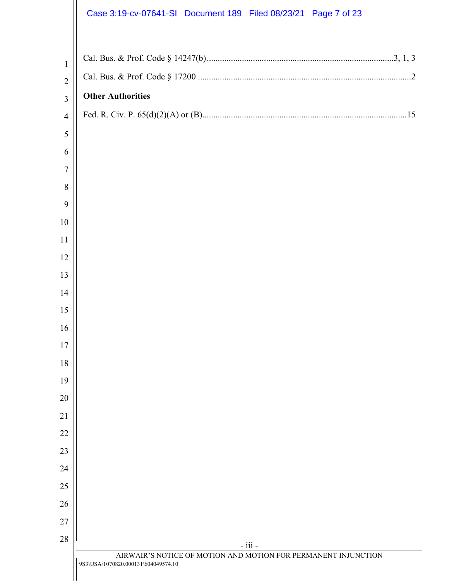|                | Case 3:19-cv-07641-SI Document 189 Filed 08/23/21 Page 7 of 23            |
|----------------|---------------------------------------------------------------------------|
|                |                                                                           |
| $\mathbf{1}$   |                                                                           |
| $\overline{2}$ |                                                                           |
| 3              | <b>Other Authorities</b>                                                  |
| $\overline{4}$ |                                                                           |
| 5              |                                                                           |
| 6              |                                                                           |
| $\tau$         |                                                                           |
| 8              |                                                                           |
| 9              |                                                                           |
| 10             |                                                                           |
| 11             |                                                                           |
| 12             |                                                                           |
| 13             |                                                                           |
| 14             |                                                                           |
| 15             |                                                                           |
| 16             |                                                                           |
| 17             |                                                                           |
| 18             |                                                                           |
| 19             |                                                                           |
| 20             |                                                                           |
| 21<br>22       |                                                                           |
| 23             |                                                                           |
| 24             |                                                                           |
| 25             |                                                                           |
| 26             |                                                                           |
| 27             |                                                                           |
| 28             |                                                                           |
|                | - iii -<br>AIRWAIR'S NOTICE OF MOTION AND MOTION FOR PERMANENT INJUNCTION |
|                | 9S3\USA\1070820.000131\604049574.10                                       |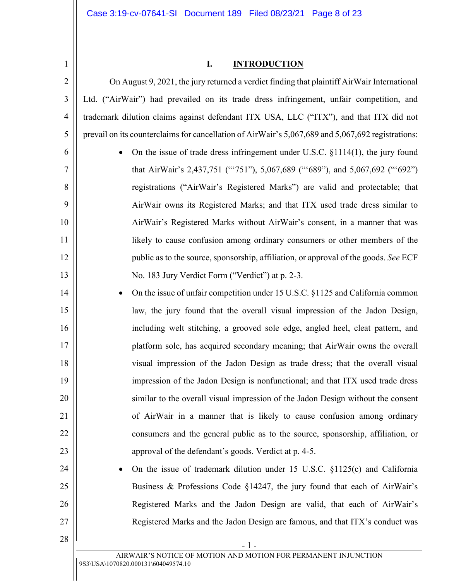3

4

5

6

7

8

9

10

11

12

13

14

15

16

17

18

19

20

21

22

23

24

25

26

27

28

### <span id="page-7-0"></span>**I. INTRODUCTION**

On August 9, 2021, the jury returned a verdict finding that plaintiff AirWair International Ltd. ("AirWair") had prevailed on its trade dress infringement, unfair competition, and trademark dilution claims against defendant ITX USA, LLC ("ITX"), and that ITX did not prevail on its counterclaims for cancellation of AirWair's 5,067,689 and 5,067,692 registrations:

 On the issue of trade dress infringement under U.S.C. §1114(1), the jury found that AirWair's 2,437,751 ("'751"), 5,067,689 ("'689"), and 5,067,692 ("'692") registrations ("AirWair's Registered Marks") are valid and protectable; that AirWair owns its Registered Marks; and that ITX used trade dress similar to AirWair's Registered Marks without AirWair's consent, in a manner that was likely to cause confusion among ordinary consumers or other members of the public as to the source, sponsorship, affiliation, or approval of the goods. *See* ECF No. 183 Jury Verdict Form ("Verdict") at p. 2-3.

 On the issue of unfair competition under 15 U.S.C. §1125 and California common law, the jury found that the overall visual impression of the Jadon Design, including welt stitching, a grooved sole edge, angled heel, cleat pattern, and platform sole, has acquired secondary meaning; that AirWair owns the overall visual impression of the Jadon Design as trade dress; that the overall visual impression of the Jadon Design is nonfunctional; and that ITX used trade dress similar to the overall visual impression of the Jadon Design without the consent of AirWair in a manner that is likely to cause confusion among ordinary consumers and the general public as to the source, sponsorship, affiliation, or approval of the defendant's goods. Verdict at p. 4-5.

 On the issue of trademark dilution under 15 U.S.C. §1125(c) and California Business & Professions Code §14247, the jury found that each of AirWair's Registered Marks and the Jadon Design are valid, that each of AirWair's Registered Marks and the Jadon Design are famous, and that ITX's conduct was

<span id="page-7-2"></span><span id="page-7-1"></span>- 1 -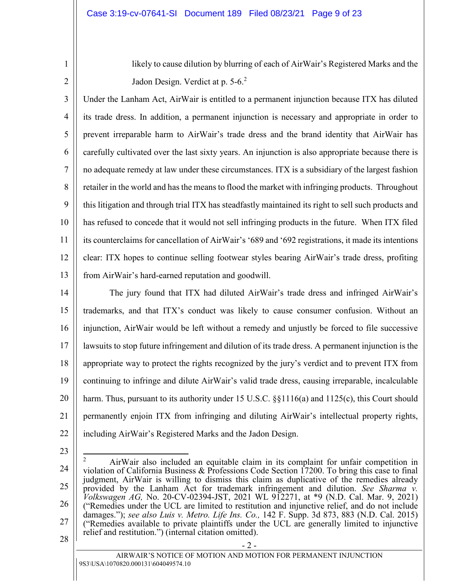likely to cause dilution by blurring of each of AirWair's Registered Marks and the Jadon Design. Verdict at p. 5-6.<sup>2</sup>

3 4 5 6 7 8 9 10 11 12 13 Under the Lanham Act, AirWair is entitled to a permanent injunction because ITX has diluted its trade dress. In addition, a permanent injunction is necessary and appropriate in order to prevent irreparable harm to AirWair's trade dress and the brand identity that AirWair has carefully cultivated over the last sixty years. An injunction is also appropriate because there is no adequate remedy at law under these circumstances. ITX is a subsidiary of the largest fashion retailer in the world and has the means to flood the market with infringing products. Throughout this litigation and through trial ITX has steadfastly maintained its right to sell such products and has refused to concede that it would not sell infringing products in the future. When ITX filed its counterclaims for cancellation of AirWair's '689 and '692 registrations, it made its intentions clear: ITX hopes to continue selling footwear styles bearing AirWair's trade dress, profiting from AirWair's hard-earned reputation and goodwill.

14 15 16 17 18 19 20 21 22 The jury found that ITX had diluted AirWair's trade dress and infringed AirWair's trademarks, and that ITX's conduct was likely to cause consumer confusion. Without an injunction, AirWair would be left without a remedy and unjustly be forced to file successive lawsuits to stop future infringement and dilution of its trade dress. A permanent injunction is the appropriate way to protect the rights recognized by the jury's verdict and to prevent ITX from continuing to infringe and dilute AirWair's valid trade dress, causing irreparable, incalculable harm. Thus, pursuant to its authority under 15 U.S.C. §§1116(a) and 1125(c), this Court should permanently enjoin ITX from infringing and diluting AirWair's intellectual property rights, including AirWair's Registered Marks and the Jadon Design.

23

<span id="page-8-3"></span><span id="page-8-2"></span><span id="page-8-1"></span><span id="page-8-0"></span> $\overline{\phantom{a}}$ 

1

2

24 25 26 27 28 2 AirWair also included an equitable claim in its complaint for unfair competition in violation of California Business & Professions Code Section 17200. To bring this case to final judgment, AirWair is willing to dismiss this claim as duplicative of the remedies already provided by the Lanham Act for trademark infringement and dilution. *See Sharma v. Volkswagen AG,* No. 20-CV-02394-JST, 2021 WL 912271, at \*9 (N.D. Cal. Mar. 9, 2021) ("Remedies under the UCL are limited to restitution and injunctive relief, and do not include damages."); *see also Luis v. Metro. Life Ins. Co.,* 142 F. Supp. 3d 873, 883 (N.D. Cal. 2015) ("Remedies available to private plaintiffs under the UCL are generally limited to injunctive relief and restitution.") (internal citation omitted).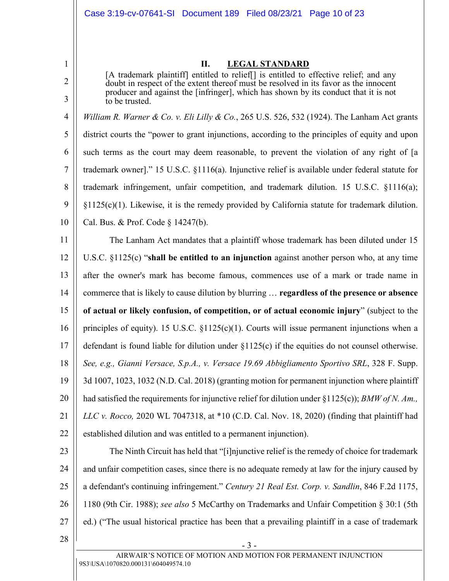#### **II. LEGAL STANDARD**

[A trademark plaintiff] entitled to relief[] is entitled to effective relief; and any doubt in respect of the extent thereof must be resolved in its favor as the innocent producer and against the [infringer], which has shown by its conduct that it is not to be trusted.

4 5 6 7 8 9 10 *William R. Warner & Co. v. Eli Lilly & Co.*, 265 U.S. 526, 532 (1924). The Lanham Act grants district courts the "power to grant injunctions, according to the principles of equity and upon such terms as the court may deem reasonable, to prevent the violation of any right of [a trademark owner]." 15 U.S.C. §1116(a). Injunctive relief is available under federal statute for trademark infringement, unfair competition, and trademark dilution. 15 U.S.C. §1116(a); §1125(c)(1). Likewise, it is the remedy provided by California statute for trademark dilution. Cal. Bus. & Prof. Code § 14247(b).

<span id="page-9-5"></span><span id="page-9-4"></span>11 12 13 14 15 16 17 18 19 20 21 22 The Lanham Act mandates that a plaintiff whose trademark has been diluted under 15 U.S.C. §1125(c) "**shall be entitled to an injunction** against another person who, at any time after the owner's mark has become famous, commences use of a mark or trade name in commerce that is likely to cause dilution by blurring … **regardless of the presence or absence of actual or likely confusion, of competition, or of actual economic injury**" (subject to the principles of equity). 15 U.S.C.  $\S1125(c)(1)$ . Courts will issue permanent injunctions when a defendant is found liable for dilution under §1125(c) if the equities do not counsel otherwise. *See, e.g., Gianni Versace, S.p.A., v. Versace 19.69 Abbigliamento Sportivo SRL*, 328 F. Supp. 3d 1007, 1023, 1032 (N.D. Cal. 2018) (granting motion for permanent injunction where plaintiff had satisfied the requirements for injunctive relief for dilution under §1125(c)); *BMW of N. Am., LLC v. Rocco,* 2020 WL 7047318, at \*10 (C.D. Cal. Nov. 18, 2020) (finding that plaintiff had established dilution and was entitled to a permanent injunction).

<span id="page-9-2"></span><span id="page-9-0"></span>23 24 25 26 27 The Ninth Circuit has held that "[i]njunctive relief is the remedy of choice for trademark and unfair competition cases, since there is no adequate remedy at law for the injury caused by a defendant's continuing infringement." *Century 21 Real Est. Corp. v. Sandlin*, 846 F.2d 1175, 1180 (9th Cir. 1988); *see also* 5 McCarthy on Trademarks and Unfair Competition § 30:1 (5th ed.) ("The usual historical practice has been that a prevailing plaintiff in a case of trademark

1

2

<span id="page-9-3"></span>3

<span id="page-9-1"></span>9S3\USA\1070820.000131\604049574.10 AIRWAIR'S NOTICE OF MOTION AND MOTION FOR PERMANENT INJUNCTION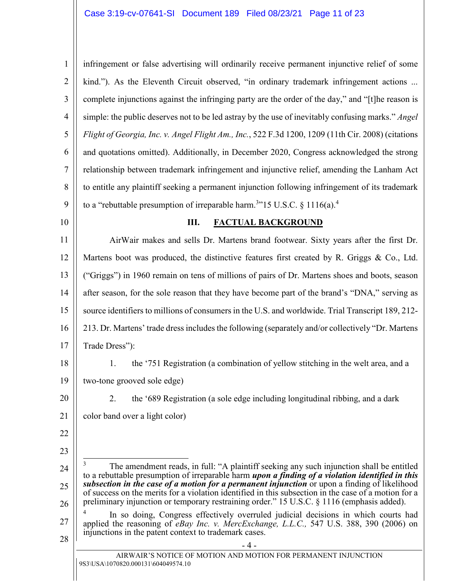| $1 \parallel$  | infringement or false advertising will ordinarily receive permanent injunctive relief of some      |
|----------------|----------------------------------------------------------------------------------------------------|
| $\overline{2}$ | kind."). As the Eleventh Circuit observed, "in ordinary trademark infringement actions             |
| 3 <sup>1</sup> | complete injunctions against the infringing party are the order of the day," and "[t]he reason is  |
| 4 <sup>1</sup> | simple: the public deserves not to be led astray by the use of inevitably confusing marks." Angel  |
| 5              | Flight of Georgia, Inc. v. Angel Flight Am., Inc., 522 F.3d 1200, 1209 (11th Cir. 2008) (citations |
| 6 <sup>1</sup> | and quotations omitted). Additionally, in December 2020, Congress acknowledged the strong          |
| 7 <sup>1</sup> | relationship between trademark infringement and injunctive relief, amending the Lanham Act         |
| 8              | to entitle any plaintiff seeking a permanent injunction following infringement of its trademark    |
| 9 <sup>°</sup> | to a "rebuttable presumption of irreparable harm. <sup>3</sup> "15 U.S.C. § 1116(a). <sup>4</sup>  |

#### <span id="page-10-0"></span>**III. FACTUAL BACKGROUND**

11 12 13 14 15 16 17 AirWair makes and sells Dr. Martens brand footwear. Sixty years after the first Dr. Martens boot was produced, the distinctive features first created by R. Griggs & Co., Ltd. ("Griggs") in 1960 remain on tens of millions of pairs of Dr. Martens shoes and boots, season after season, for the sole reason that they have become part of the brand's "DNA," serving as source identifiers to millions of consumers in the U.S. and worldwide. Trial Transcript 189, 212- 213. Dr. Martens' trade dress includes the following (separately and/or collectively "Dr. Martens Trade Dress"):

1. the '751 Registration (a combination of yellow stitching in the welt area, and a

19 two-tone grooved sole edge)

20

21

22

23

18

2. the '689 Registration (a sole edge including longitudinal ribbing, and a dark color band over a light color)

<sup>24</sup> 25 26 27 28 - 4 -  $\overline{\phantom{a}}$ 3 The amendment reads, in full: "A plaintiff seeking any such injunction shall be entitled to a rebuttable presumption of irreparable harm *upon a finding of a violation identified in this subsection in the case of a motion for a permanent injunction* or upon a finding of likelihood of success on the merits for a violation identified in this subsection in the case of a motion for a preliminary injunction or temporary restraining order." 15 U.S.C. § 1116 (emphasis added). 4 In so doing, Congress effectively overruled judicial decisions in which courts had applied the reasoning of *eBay Inc. v. MercExchange, L.L.C.,* 547 U.S. 388, 390 (2006) on injunctions in the patent context to trademark cases.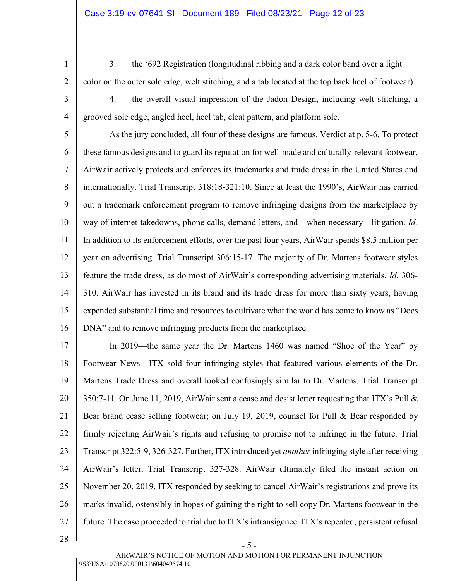3. the '692 Registration (longitudinal ribbing and a dark color band over a light color on the outer sole edge, welt stitching, and a tab located at the top back heel of footwear)

3

4

28

4. the overall visual impression of the Jadon Design, including welt stitching, a grooved sole edge, angled heel, heel tab, cleat pattern, and platform sole.

5 6 7 8 9 10 11 12 13 14 15 16 As the jury concluded, all four of these designs are famous. Verdict at p. 5-6. To protect these famous designs and to guard its reputation for well-made and culturally-relevant footwear, AirWair actively protects and enforces its trademarks and trade dress in the United States and internationally. Trial Transcript 318:18-321:10. Since at least the 1990's, AirWair has carried out a trademark enforcement program to remove infringing designs from the marketplace by way of internet takedowns, phone calls, demand letters, and—when necessary—litigation. *Id.* In addition to its enforcement efforts, over the past four years, AirWair spends \$8.5 million per year on advertising. Trial Transcript 306:15-17. The majority of Dr. Martens footwear styles feature the trade dress, as do most of AirWair's corresponding advertising materials. *Id.* 306- 310. AirWair has invested in its brand and its trade dress for more than sixty years, having expended substantial time and resources to cultivate what the world has come to know as "Docs DNA" and to remove infringing products from the marketplace.

17 18 19 20 21 22 23 24 25 26 27 In 2019—the same year the Dr. Martens 1460 was named "Shoe of the Year" by Footwear News—ITX sold four infringing styles that featured various elements of the Dr. Martens Trade Dress and overall looked confusingly similar to Dr. Martens. Trial Transcript 350:7-11. On June 11, 2019, AirWair sent a cease and desist letter requesting that ITX's Pull & Bear brand cease selling footwear; on July 19, 2019, counsel for Pull & Bear responded by firmly rejecting AirWair's rights and refusing to promise not to infringe in the future. Trial Transcript 322:5-9, 326-327. Further, ITX introduced yet *another* infringing style after receiving AirWair's letter. Trial Transcript 327-328. AirWair ultimately filed the instant action on November 20, 2019. ITX responded by seeking to cancel AirWair's registrations and prove its marks invalid, ostensibly in hopes of gaining the right to sell copy Dr. Martens footwear in the future. The case proceeded to trial due to ITX's intransigence. ITX's repeated, persistent refusal

- 5 -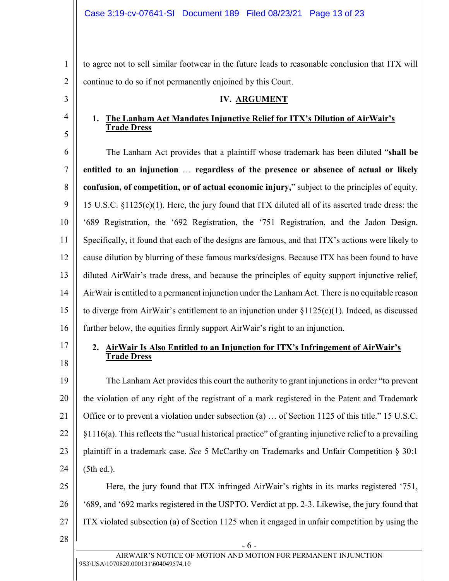to agree not to sell similar footwear in the future leads to reasonable conclusion that ITX will continue to do so if not permanently enjoined by this Court.

#### **IV. ARGUMENT**

# **1. The Lanham Act Mandates Injunctive Relief for ITX's Dilution of AirWair's Trade Dress**

<span id="page-12-0"></span>6 7 8 9 10 11 12 13 14 15 16 The Lanham Act provides that a plaintiff whose trademark has been diluted "**shall be entitled to an injunction** … **regardless of the presence or absence of actual or likely confusion, of competition, or of actual economic injury,**" subject to the principles of equity. 15 U.S.C. §1125(c)(1). Here, the jury found that ITX diluted all of its asserted trade dress: the '689 Registration, the '692 Registration, the '751 Registration, and the Jadon Design. Specifically, it found that each of the designs are famous, and that ITX's actions were likely to cause dilution by blurring of these famous marks/designs. Because ITX has been found to have diluted AirWair's trade dress, and because the principles of equity support injunctive relief, AirWair is entitled to a permanent injunction under the Lanham Act. There is no equitable reason to diverge from AirWair's entitlement to an injunction under §1125(c)(1). Indeed, as discussed further below, the equities firmly support AirWair's right to an injunction.

17

18

28

1

2

3

4

5

#### **2. AirWair Is Also Entitled to an Injunction for ITX's Infringement of AirWair's Trade Dress**

19 20 21 22 23 24 The Lanham Act provides this court the authority to grant injunctions in order "to prevent the violation of any right of the registrant of a mark registered in the Patent and Trademark Office or to prevent a violation under subsection (a) … of Section 1125 of this title." 15 U.S.C. §1116(a). This reflects the "usual historical practice" of granting injunctive relief to a prevailing plaintiff in a trademark case. *See* 5 McCarthy on Trademarks and Unfair Competition § 30:1 (5th ed.).

25 26 27 Here, the jury found that ITX infringed AirWair's rights in its marks registered '751, '689, and '692 marks registered in the USPTO. Verdict at pp. 2-3. Likewise, the jury found that ITX violated subsection (a) of Section 1125 when it engaged in unfair competition by using the

- 6 -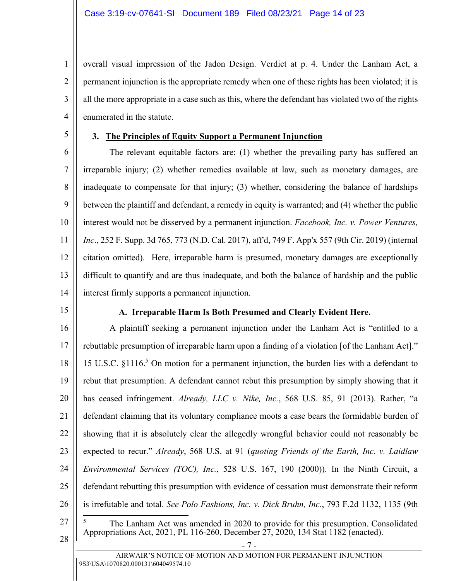overall visual impression of the Jadon Design. Verdict at p. 4. Under the Lanham Act, a permanent injunction is the appropriate remedy when one of these rights has been violated; it is all the more appropriate in a case such as this, where the defendant has violated two of the rights enumerated in the statute.

5

1

2

3

4

## **3. The Principles of Equity Support a Permanent Injunction**

6 7 8 9 10 11 12 13 14 The relevant equitable factors are: (1) whether the prevailing party has suffered an irreparable injury; (2) whether remedies available at law, such as monetary damages, are inadequate to compensate for that injury; (3) whether, considering the balance of hardships between the plaintiff and defendant, a remedy in equity is warranted; and (4) whether the public interest would not be disserved by a permanent injunction. *Facebook, Inc. v. Power Ventures, Inc*., 252 F. Supp. 3d 765, 773 (N.D. Cal. 2017), aff'd, 749 F. App'x 557 (9th Cir. 2019) (internal citation omitted). Here, irreparable harm is presumed, monetary damages are exceptionally difficult to quantify and are thus inadequate, and both the balance of hardship and the public interest firmly supports a permanent injunction.

15

#### <span id="page-13-1"></span><span id="page-13-0"></span>**A. Irreparable Harm Is Both Presumed and Clearly Evident Here.**

16 17 18 19 20 21 22 23 24 25 26 27 A plaintiff seeking a permanent injunction under the Lanham Act is "entitled to a rebuttable presumption of irreparable harm upon a finding of a violation [of the Lanham Act]." 15 U.S.C. §1116.<sup>5</sup> On motion for a permanent injunction, the burden lies with a defendant to rebut that presumption. A defendant cannot rebut this presumption by simply showing that it has ceased infringement. *Already, LLC v. Nike, Inc.*, 568 U.S. 85, 91 (2013). Rather, "a defendant claiming that its voluntary compliance moots a case bears the formidable burden of showing that it is absolutely clear the allegedly wrongful behavior could not reasonably be expected to recur." *Already*, 568 U.S. at 91 (*quoting Friends of the Earth, Inc. v. Laidlaw Environmental Services (TOC), Inc.*, 528 U.S. 167, 190 (2000)). In the Ninth Circuit, a defendant rebutting this presumption with evidence of cessation must demonstrate their reform is irrefutable and total. *See Polo Fashions, Inc. v. Dick Bruhn, Inc.*, 793 F.2d 1132, 1135 (9th ĺ 5 The Lanham Act was amended in 2020 to provide for this presumption. Consolidated

28

Appropriations Act, 2021, PL 116-260, December 27, 2020, 134 Stat 1182 (enacted).

<span id="page-13-2"></span>- 7 -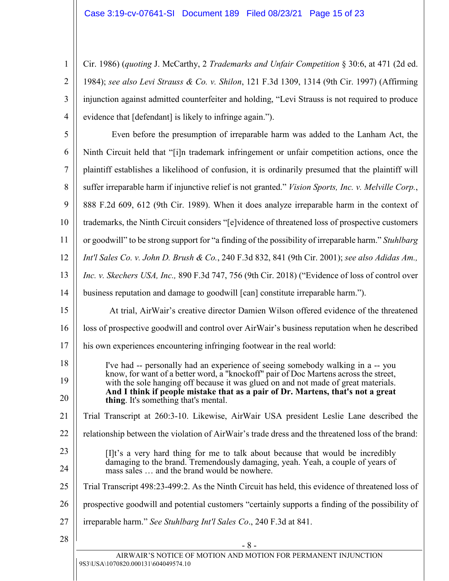2

3

<span id="page-14-3"></span>4

 $\frac{1}{2}$ 

<span id="page-14-1"></span>Cir. 1986) (*quoting* J. McCarthy, 2 *Trademarks and Unfair Competition* § 30:6, at 471 (2d ed. 1984); *see also Levi Strauss & Co. v. Shilon*, 121 F.3d 1309, 1314 (9th Cir. 1997) (Affirming injunction against admitted counterfeiter and holding, "Levi Strauss is not required to produce evidence that [defendant] is likely to infringe again.").

<span id="page-14-2"></span><span id="page-14-0"></span>

| 5              | Even before the presumption of irreparable harm was added to the Lanham Act, the                                                                                                                                                                                                                                                                                                         |
|----------------|------------------------------------------------------------------------------------------------------------------------------------------------------------------------------------------------------------------------------------------------------------------------------------------------------------------------------------------------------------------------------------------|
| 6              | Ninth Circuit held that "[i]n trademark infringement or unfair competition actions, once the                                                                                                                                                                                                                                                                                             |
| $\overline{7}$ | plaintiff establishes a likelihood of confusion, it is ordinarily presumed that the plaintiff will                                                                                                                                                                                                                                                                                       |
| 8              | suffer irreparable harm if injunctive relief is not granted." Vision Sports, Inc. v. Melville Corp.,                                                                                                                                                                                                                                                                                     |
| 9              | 888 F.2d 609, 612 (9th Cir. 1989). When it does analyze irreparable harm in the context of                                                                                                                                                                                                                                                                                               |
| 10             | trademarks, the Ninth Circuit considers "[e]vidence of threatened loss of prospective customers                                                                                                                                                                                                                                                                                          |
| 11             | or goodwill" to be strong support for "a finding of the possibility of irreparable harm." Stuhlbarg                                                                                                                                                                                                                                                                                      |
| 12             | Int'l Sales Co. v. John D. Brush & Co., 240 F.3d 832, 841 (9th Cir. 2001); see also Adidas Am.,                                                                                                                                                                                                                                                                                          |
| 13             | Inc. v. Skechers USA, Inc., 890 F.3d 747, 756 (9th Cir. 2018) ("Evidence of loss of control over                                                                                                                                                                                                                                                                                         |
| 14             | business reputation and damage to goodwill [can] constitute irreparable harm.").                                                                                                                                                                                                                                                                                                         |
| 15             | At trial, AirWair's creative director Damien Wilson offered evidence of the threatened                                                                                                                                                                                                                                                                                                   |
| 16             | loss of prospective goodwill and control over AirWair's business reputation when he described                                                                                                                                                                                                                                                                                            |
| 17             | his own experiences encountering infringing footwear in the real world:                                                                                                                                                                                                                                                                                                                  |
| 18<br>19<br>20 | I've had -- personally had an experience of seeing somebody walking in a -- you<br>know, for want of a better word, a "knockoff" pair of Doc Martens across the street,<br>with the sole hanging off because it was glued on and not made of great materials.<br>And I think if people mistake that as a pair of Dr. Martens, that's not a great<br>thing. It's something that's mental. |
| 21             | Trial Transcript at 260:3-10. Likewise, AirWair USA president Leslie Lane described the                                                                                                                                                                                                                                                                                                  |
| 22             | relationship between the violation of AirWair's trade dress and the threatened loss of the brand:                                                                                                                                                                                                                                                                                        |
| 23             | [I]t's a very hard thing for me to talk about because that would be incredibly                                                                                                                                                                                                                                                                                                           |
| 24             | damaging to the brand. Tremendously damaging, yeah. Yeah, a couple of years of<br>mass sales  and the brand would be nowhere.                                                                                                                                                                                                                                                            |
| 25             | Trial Transcript 498:23-499:2. As the Ninth Circuit has held, this evidence of threatened loss of                                                                                                                                                                                                                                                                                        |
| 26             | prospective goodwill and potential customers "certainly supports a finding of the possibility of                                                                                                                                                                                                                                                                                         |
| 27             | irreparable harm." See Stuhlbarg Int'l Sales Co., 240 F.3d at 841.                                                                                                                                                                                                                                                                                                                       |
| 28             | $-8-$                                                                                                                                                                                                                                                                                                                                                                                    |
|                | AIRWAIR'S NOTICE OF MOTION AND MOTION FOR PERMANENT INJUNCTION<br>9S3\USA\1070820.000131\604049574.10                                                                                                                                                                                                                                                                                    |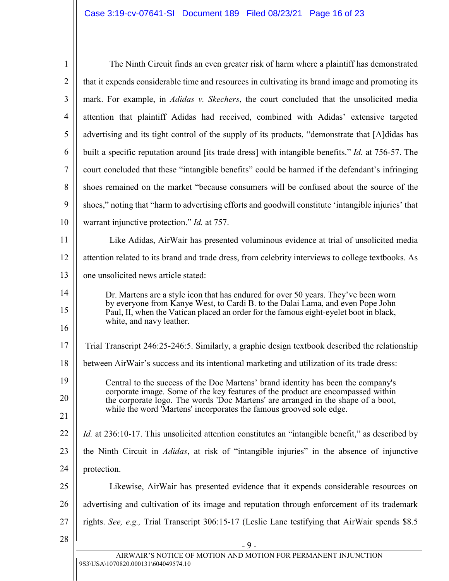<span id="page-15-0"></span>

| $\mathbf{1}$   | The Ninth Circuit finds an even greater risk of harm where a plaintiff has demonstrated                                                                              |
|----------------|----------------------------------------------------------------------------------------------------------------------------------------------------------------------|
| $\overline{2}$ | that it expends considerable time and resources in cultivating its brand image and promoting its                                                                     |
| 3              | mark. For example, in <i>Adidas v. Skechers</i> , the court concluded that the unsolicited media                                                                     |
| 4              | attention that plaintiff Adidas had received, combined with Adidas' extensive targeted                                                                               |
| 5              | advertising and its tight control of the supply of its products, "demonstrate that [A]didas has                                                                      |
| 6              | built a specific reputation around [its trade dress] with intangible benefits." <i>Id.</i> at 756-57. The                                                            |
| 7              | court concluded that these "intangible benefits" could be harmed if the defendant's infringing                                                                       |
| 8              | shoes remained on the market "because consumers will be confused about the source of the                                                                             |
| 9              | shoes," noting that "harm to advertising efforts and goodwill constitute 'intangible injuries' that                                                                  |
| 10             | warrant injunctive protection." Id. at 757.                                                                                                                          |
| 11             | Like Adidas, AirWair has presented voluminous evidence at trial of unsolicited media                                                                                 |
| 12             | attention related to its brand and trade dress, from celebrity interviews to college textbooks. As                                                                   |
| 13             | one unsolicited news article stated:                                                                                                                                 |
| 14             | Dr. Martens are a style icon that has endured for over 50 years. They've been worn<br>by everyone from Kanye West, to Cardi B. to the Dalai Lama, and even Pope John |
| 15<br>16       | Paul, II, when the Vatican placed an order for the famous eight-eyelet boot in black,<br>white, and navy leather.                                                    |
|                |                                                                                                                                                                      |
| 17             | Trial Transcript 246:25-246:5. Similarly, a graphic design textbook described the relationship                                                                       |
| 18             | between AirWair's success and its intentional marketing and utilization of its trade dress:                                                                          |
| 19<br>20       | Central to the success of the Doc Martens' brand identity has been the company's<br>corporate image. Some of the key features of the product are encompassed within  |
| 21             | the corporate logo. The words 'Doc Martens' are arranged in the shape of a boot,<br>while the word 'Martens' incorporates the famous grooved sole edge.              |
| 22             | Id. at 236:10-17. This unsolicited attention constitutes an "intangible benefit," as described by                                                                    |
| 23             | the Ninth Circuit in Adidas, at risk of "intangible injuries" in the absence of injunctive                                                                           |
| 24             | protection.                                                                                                                                                          |
| 25             | Likewise, AirWair has presented evidence that it expends considerable resources on                                                                                   |
| 26             | advertising and cultivation of its image and reputation through enforcement of its trademark                                                                         |
| 27             | rights. See, e.g., Trial Transcript 306:15-17 (Leslie Lane testifying that AirWair spends \$8.5                                                                      |
| 28             | $-9-$                                                                                                                                                                |
|                | AIRWAIR'S NOTICE OF MOTION AND MOTION FOR PERMANENT INJUNCTION                                                                                                       |
|                | 9S3\USA\1070820.000131\604049574.10                                                                                                                                  |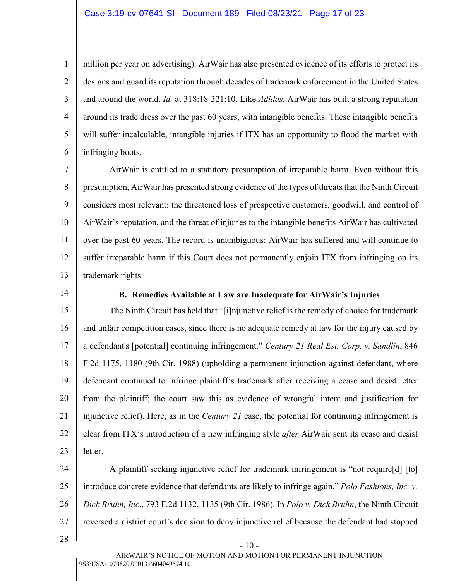#### Case 3:19-cv-07641-SI Document 189 Filed 08/23/21 Page 17 of 23

<span id="page-16-0"></span>million per year on advertising). AirWair has also presented evidence of its efforts to protect its designs and guard its reputation through decades of trademark enforcement in the United States and around the world. *Id.* at 318:18-321:10. Like *Adidas*, AirWair has built a strong reputation around its trade dress over the past 60 years, with intangible benefits. These intangible benefits will suffer incalculable, intangible injuries if ITX has an opportunity to flood the market with infringing boots.

7 8 9 10 11 12 13 AirWair is entitled to a statutory presumption of irreparable harm. Even without this presumption, AirWair has presented strong evidence of the types of threats that the Ninth Circuit considers most relevant: the threatened loss of prospective customers, goodwill, and control of AirWair's reputation, and the threat of injuries to the intangible benefits AirWair has cultivated over the past 60 years. The record is unambiguous: AirWair has suffered and will continue to suffer irreparable harm if this Court does not permanently enjoin ITX from infringing on its trademark rights.

14

1

2

3

4

5

6

#### <span id="page-16-1"></span>**B. Remedies Available at Law are Inadequate for AirWair's Injuries**

15 16 17 18 19 20 21 22 23 The Ninth Circuit has held that "[i]njunctive relief is the remedy of choice for trademark and unfair competition cases, since there is no adequate remedy at law for the injury caused by a defendant's [potential] continuing infringement." *Century 21 Real Est. Corp. v. Sandlin*, 846 F.2d 1175, 1180 (9th Cir. 1988) (upholding a permanent injunction against defendant, where defendant continued to infringe plaintiff's trademark after receiving a cease and desist letter from the plaintiff; the court saw this as evidence of wrongful intent and justification for injunctive relief). Here, as in the *Century 21* case, the potential for continuing infringement is clear from ITX's introduction of a new infringing style *after* AirWair sent its cease and desist letter.

24

<span id="page-16-2"></span>25 26 27 A plaintiff seeking injunctive relief for trademark infringement is "not require[d] [to] introduce concrete evidence that defendants are likely to infringe again." *Polo Fashions, Inc. v. Dick Bruhn, Inc*., 793 F.2d 1132, 1135 (9th Cir. 1986). In *Polo v. Dick Bruhn*, the Ninth Circuit reversed a district court's decision to deny injunctive relief because the defendant had stopped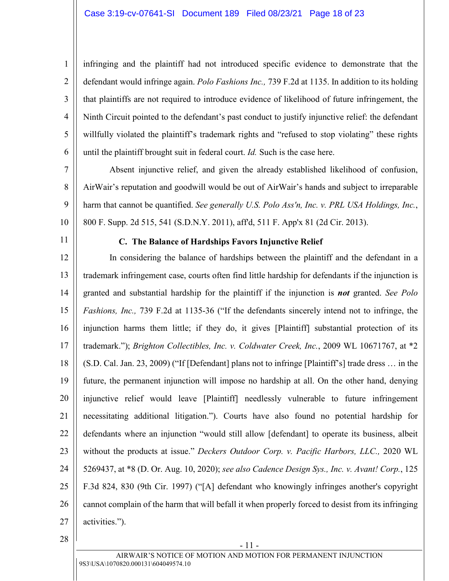<span id="page-17-3"></span>infringing and the plaintiff had not introduced specific evidence to demonstrate that the defendant would infringe again. *Polo Fashions Inc.,* 739 F.2d at 1135. In addition to its holding that plaintiffs are not required to introduce evidence of likelihood of future infringement, the Ninth Circuit pointed to the defendant's past conduct to justify injunctive relief: the defendant willfully violated the plaintiff's trademark rights and "refused to stop violating" these rights until the plaintiff brought suit in federal court. *Id.* Such is the case here.

7 8 9 10 Absent injunctive relief, and given the already established likelihood of confusion, AirWair's reputation and goodwill would be out of AirWair's hands and subject to irreparable harm that cannot be quantified. *See generally U.S. Polo Ass'n, Inc. v. PRL USA Holdings, Inc.*, 800 F. Supp. 2d 515, 541 (S.D.N.Y. 2011), aff'd, 511 F. App'x 81 (2d Cir. 2013).

11

1

2

3

4

5

6

#### <span id="page-17-4"></span><span id="page-17-2"></span><span id="page-17-1"></span><span id="page-17-0"></span>**C. The Balance of Hardships Favors Injunctive Relief**

12 13 14 15 16 17 18 19 20 21 22 23 24 25 26 27 In considering the balance of hardships between the plaintiff and the defendant in a trademark infringement case, courts often find little hardship for defendants if the injunction is granted and substantial hardship for the plaintiff if the injunction is *not* granted. *See Polo Fashions, Inc.,* 739 F.2d at 1135-36 ("If the defendants sincerely intend not to infringe, the injunction harms them little; if they do, it gives [Plaintiff] substantial protection of its trademark."); *Brighton Collectibles, Inc. v. Coldwater Creek, Inc.*, 2009 WL 10671767, at \*2 (S.D. Cal. Jan. 23, 2009) ("If [Defendant] plans not to infringe [Plaintiff's] trade dress … in the future, the permanent injunction will impose no hardship at all. On the other hand, denying injunctive relief would leave [Plaintiff] needlessly vulnerable to future infringement necessitating additional litigation."). Courts have also found no potential hardship for defendants where an injunction "would still allow [defendant] to operate its business, albeit without the products at issue." *Deckers Outdoor Corp. v. Pacific Harbors, LLC.,* 2020 WL 5269437, at \*8 (D. Or. Aug. 10, 2020); *see also Cadence Design Sys., Inc. v. Avant! Corp.*, 125 F.3d 824, 830 (9th Cir. 1997) ("[A] defendant who knowingly infringes another's copyright cannot complain of the harm that will befall it when properly forced to desist from its infringing activities.").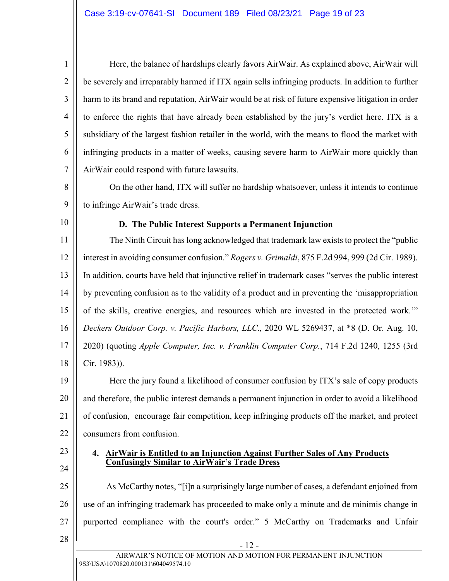Here, the balance of hardships clearly favors AirWair. As explained above, AirWair will be severely and irreparably harmed if ITX again sells infringing products. In addition to further harm to its brand and reputation, AirWair would be at risk of future expensive litigation in order to enforce the rights that have already been established by the jury's verdict here. ITX is a subsidiary of the largest fashion retailer in the world, with the means to flood the market with infringing products in a matter of weeks, causing severe harm to AirWair more quickly than AirWair could respond with future lawsuits.

8 9 On the other hand, ITX will suffer no hardship whatsoever, unless it intends to continue to infringe AirWair's trade dress.

10

1

2

3

4

5

6

7

#### <span id="page-18-1"></span>**D. The Public Interest Supports a Permanent Injunction**

11 12 13 14 15 16 17 18 The Ninth Circuit has long acknowledged that trademark law exists to protect the "public interest in avoiding consumer confusion." *Rogers v. Grimaldi*, 875 F.2d 994, 999 (2d Cir. 1989). In addition, courts have held that injunctive relief in trademark cases "serves the public interest by preventing confusion as to the validity of a product and in preventing the 'misappropriation of the skills, creative energies, and resources which are invested in the protected work.'" *Deckers Outdoor Corp. v. Pacific Harbors, LLC.,* 2020 WL 5269437, at \*8 (D. Or. Aug. 10, 2020) (quoting *Apple Computer, Inc. v. Franklin Computer Corp.*, 714 F.2d 1240, 1255 (3rd Cir. 1983)).

<span id="page-18-0"></span>19 20 21 22 Here the jury found a likelihood of consumer confusion by ITX's sale of copy products and therefore, the public interest demands a permanent injunction in order to avoid a likelihood of confusion, encourage fair competition, keep infringing products off the market, and protect consumers from confusion.

23 24

28

#### **4. AirWair is Entitled to an Injunction Against Further Sales of Any Products Confusingly Similar to AirWair's Trade Dress**

25 26 27 As McCarthy notes, "[i]n a surprisingly large number of cases, a defendant enjoined from use of an infringing trademark has proceeded to make only a minute and de minimis change in purported compliance with the court's order." 5 McCarthy on Trademarks and Unfair

- 12 -

9S3\USA\1070820.000131\604049574.10 AIRWAIR'S NOTICE OF MOTION AND MOTION FOR PERMANENT INJUNCTION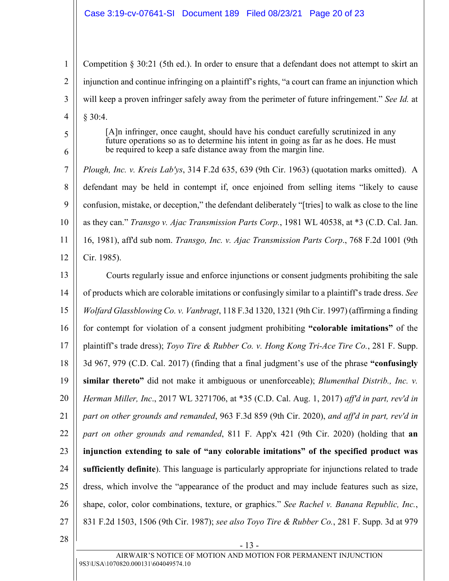#### Case 3:19-cv-07641-SI Document 189 Filed 08/23/21 Page 20 of 23

1 2 3 4 Competition § 30:21 (5th ed.). In order to ensure that a defendant does not attempt to skirt an injunction and continue infringing on a plaintiff's rights, "a court can frame an injunction which will keep a proven infringer safely away from the perimeter of future infringement." *See Id.* at § 30:4.

> [A]n infringer, once caught, should have his conduct carefully scrutinized in any future operations so as to determine his intent in going as far as he does. He must be required to keep a safe distance away from the margin line.

<span id="page-19-4"></span><span id="page-19-1"></span>7 8 9 10 11 12 *Plough, Inc. v. Kreis Lab'ys*, 314 F.2d 635, 639 (9th Cir. 1963) (quotation marks omitted). A defendant may be held in contempt if, once enjoined from selling items "likely to cause confusion, mistake, or deception," the defendant deliberately "[tries] to walk as close to the line as they can." *Transgo v. Ajac Transmission Parts Corp.*, 1981 WL 40538, at \*3 (C.D. Cal. Jan. 16, 1981), aff'd sub nom. *Transgo, Inc. v. Ajac Transmission Parts Corp*., 768 F.2d 1001 (9th Cir. 1985).

<span id="page-19-5"></span><span id="page-19-3"></span><span id="page-19-0"></span>13 14 15 16 17 18 19 20 21 22 23 24 25 26 27 Courts regularly issue and enforce injunctions or consent judgments prohibiting the sale of products which are colorable imitations or confusingly similar to a plaintiff's trade dress. *See Wolfard Glassblowing Co. v. Vanbragt*, 118 F.3d 1320, 1321 (9th Cir. 1997) (affirming a finding for contempt for violation of a consent judgment prohibiting **"colorable imitations"** of the plaintiff's trade dress); *Toyo Tire & Rubber Co. v. Hong Kong Tri-Ace Tire Co.*, 281 F. Supp. 3d 967, 979 (C.D. Cal. 2017) (finding that a final judgment's use of the phrase **"confusingly similar thereto"** did not make it ambiguous or unenforceable); *Blumenthal Distrib., Inc. v. Herman Miller, Inc*., 2017 WL 3271706, at \*35 (C.D. Cal. Aug. 1, 2017) *aff'd in part, rev'd in part on other grounds and remanded*, 963 F.3d 859 (9th Cir. 2020), *and aff'd in part, rev'd in part on other grounds and remanded*, 811 F. App'x 421 (9th Cir. 2020) (holding that **an injunction extending to sale of "any colorable imitations" of the specified product was sufficiently definite**). This language is particularly appropriate for injunctions related to trade dress, which involve the "appearance of the product and may include features such as size, shape, color, color combinations, texture, or graphics." *See Rachel v. Banana Republic, Inc.*, 831 F.2d 1503, 1506 (9th Cir. 1987); *see also Toyo Tire & Rubber Co.*, 281 F. Supp. 3d at 979

<span id="page-19-2"></span>28

5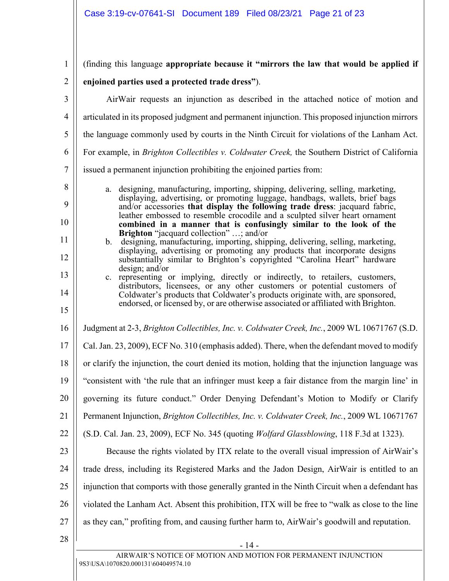<span id="page-20-1"></span><span id="page-20-0"></span>

| $\mathbf{1}$   | (finding this language appropriate because it "mirrors the law that would be applied if                                                                                                                                                                                                                                                                                                                   |
|----------------|-----------------------------------------------------------------------------------------------------------------------------------------------------------------------------------------------------------------------------------------------------------------------------------------------------------------------------------------------------------------------------------------------------------|
| $\overline{2}$ | enjoined parties used a protected trade dress").                                                                                                                                                                                                                                                                                                                                                          |
| 3              | AirWair requests an injunction as described in the attached notice of motion and                                                                                                                                                                                                                                                                                                                          |
| $\overline{4}$ | articulated in its proposed judgment and permanent injunction. This proposed injunction mirrors                                                                                                                                                                                                                                                                                                           |
| 5              | the language commonly used by courts in the Ninth Circuit for violations of the Lanham Act.                                                                                                                                                                                                                                                                                                               |
| 6              | For example, in Brighton Collectibles v. Coldwater Creek, the Southern District of California                                                                                                                                                                                                                                                                                                             |
| $\overline{7}$ | issued a permanent injunction prohibiting the enjoined parties from:                                                                                                                                                                                                                                                                                                                                      |
| 8<br>9<br>10   | designing, manufacturing, importing, shipping, delivering, selling, marketing,<br>a.<br>displaying, advertising, or promoting luggage, handbags, wallets, brief bags<br>and/or accessories that display the following trade dress: jacquard fabric,<br>leather embossed to resemble crocodile and a sculpted silver heart ornament<br>combined in a manner that is confusingly similar to the look of the |
| 11<br>12       | Brighton "jacquard collection" ; and/or<br>designing, manufacturing, importing, shipping, delivering, selling, marketing,<br>b.<br>displaying, advertising or promoting any products that incorporate designs<br>substantially similar to Brighton's copyrighted "Carolina Heart" hardware                                                                                                                |
| 13<br>14<br>15 | design; and/or<br>c. representing or implying, directly or indirectly, to retailers, customers,<br>distributors, licensees, or any other customers or potential customers of<br>Coldwater's products that Coldwater's products originate with, are sponsored,<br>endorsed, or licensed by, or are otherwise associated or affiliated with Brighton.                                                       |
| 16             | Judgment at 2-3, Brighton Collectibles, Inc. v. Coldwater Creek, Inc., 2009 WL 10671767 (S.D.                                                                                                                                                                                                                                                                                                             |
| 17             | Cal. Jan. 23, 2009), ECF No. 310 (emphasis added). There, when the defendant moved to modify                                                                                                                                                                                                                                                                                                              |
| 18             | or clarify the injunction, the court denied its motion, holding that the injunction language was                                                                                                                                                                                                                                                                                                          |
| 19             | 'consistent with 'the rule that an infringer must keep a fair distance from the margin line' in                                                                                                                                                                                                                                                                                                           |
| 20             | governing its future conduct." Order Denying Defendant's Motion to Modify or Clarify                                                                                                                                                                                                                                                                                                                      |
| 21             | Permanent Injunction, Brighton Collectibles, Inc. v. Coldwater Creek, Inc., 2009 WL 10671767                                                                                                                                                                                                                                                                                                              |
| 22             | (S.D. Cal. Jan. 23, 2009), ECF No. 345 (quoting <i>Wolfard Glassblowing</i> , 118 F.3d at 1323).                                                                                                                                                                                                                                                                                                          |
| 23             | Because the rights violated by ITX relate to the overall visual impression of AirWair's                                                                                                                                                                                                                                                                                                                   |
| 24             | trade dress, including its Registered Marks and the Jadon Design, AirWair is entitled to an                                                                                                                                                                                                                                                                                                               |
| 25             | injunction that comports with those generally granted in the Ninth Circuit when a defendant has                                                                                                                                                                                                                                                                                                           |
| 26             | violated the Lanham Act. Absent this prohibition, ITX will be free to "walk as close to the line"                                                                                                                                                                                                                                                                                                         |
| 27             | as they can," profiting from, and causing further harm to, AirWair's goodwill and reputation.                                                                                                                                                                                                                                                                                                             |
| 28             | - 14 -                                                                                                                                                                                                                                                                                                                                                                                                    |
|                | AIRWAIR'S NOTICE OF MOTION AND MOTION FOR PERMANENT INJUNCTION<br>9S3\USA\1070820.000131\604049574.10                                                                                                                                                                                                                                                                                                     |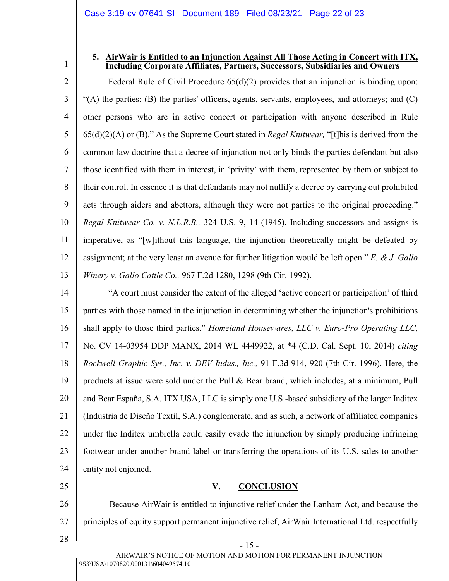#### <span id="page-21-3"></span>**5. AirWair is Entitled to an Injunction Against All Those Acting in Concert with ITX, Including Corporate Affiliates, Partners, Successors, Subsidiaries and Owners**

2 3 4 5 6 7 8 9 10 11 12 13 Federal Rule of Civil Procedure  $65(d)(2)$  provides that an injunction is binding upon: "(A) the parties; (B) the parties' officers, agents, servants, employees, and attorneys; and (C) other persons who are in active concert or participation with anyone described in Rule 65(d)(2)(A) or (B)." As the Supreme Court stated in *Regal Knitwear,* "[t]his is derived from the common law doctrine that a decree of injunction not only binds the parties defendant but also those identified with them in interest, in 'privity' with them, represented by them or subject to their control. In essence it is that defendants may not nullify a decree by carrying out prohibited acts through aiders and abettors, although they were not parties to the original proceeding." *Regal Knitwear Co. v. N.L.R.B.,* 324 U.S. 9, 14 (1945). Including successors and assigns is imperative, as "[w]ithout this language, the injunction theoretically might be defeated by assignment; at the very least an avenue for further litigation would be left open." *E. & J. Gallo Winery v. Gallo Cattle Co.,* 967 F.2d 1280, 1298 (9th Cir. 1992).

- <span id="page-21-2"></span><span id="page-21-1"></span><span id="page-21-0"></span>14 15 16 17 18 19 20 21 22 23 24 "A court must consider the extent of the alleged 'active concert or participation' of third parties with those named in the injunction in determining whether the injunction's prohibitions shall apply to those third parties." *Homeland Housewares, LLC v. Euro-Pro Operating LLC,* No. CV 14-03954 DDP MANX, 2014 WL 4449922, at \*4 (C.D. Cal. Sept. 10, 2014) *citing Rockwell Graphic Sys., Inc. v. DEV Indus., Inc.,* 91 F.3d 914, 920 (7th Cir. 1996). Here, the products at issue were sold under the Pull & Bear brand, which includes, at a minimum, Pull and Bear España, S.A. ITX USA, LLC is simply one U.S.-based subsidiary of the larger Inditex (Industria de Diseño Textil, S.A.) conglomerate, and as such, a network of affiliated companies under the Inditex umbrella could easily evade the injunction by simply producing infringing footwear under another brand label or transferring the operations of its U.S. sales to another entity not enjoined.
	- **V. CONCLUSION**

Because AirWair is entitled to injunctive relief under the Lanham Act, and because the principles of equity support permanent injunctive relief, AirWair International Ltd. respectfully

28

25

26